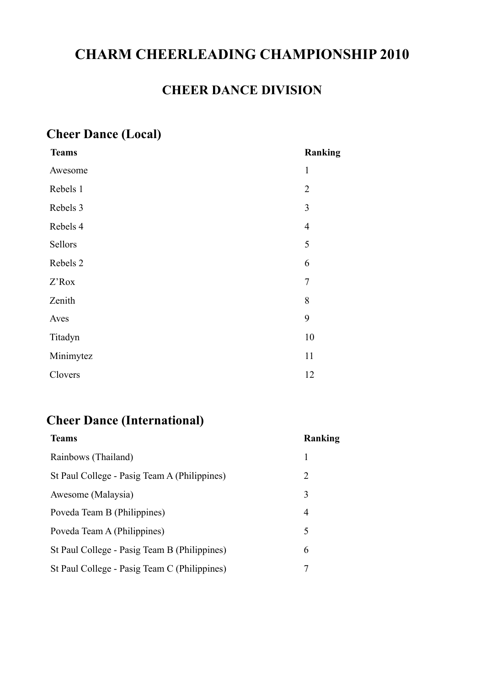# **CHARM CHEERLEADING CHAMPIONSHIP 2010**

## **CHEER DANCE DIVISION**

# **Cheer Dance (Local)**

| <b>Teams</b> | Ranking        |
|--------------|----------------|
| Awesome      | $\mathbf{1}$   |
| Rebels 1     | $\overline{2}$ |
| Rebels 3     | 3              |
| Rebels 4     | $\overline{4}$ |
| Sellors      | 5              |
| Rebels 2     | 6              |
| Z'Rox        | $\overline{7}$ |
| Zenith       | 8              |
| Aves         | 9              |
| Titadyn      | 10             |
| Minimytez    | 11             |
| Clovers      | 12             |

# **Cheer Dance (International)**

| <b>Teams</b>                                 | Ranking |
|----------------------------------------------|---------|
| Rainbows (Thailand)                          | 1       |
| St Paul College - Pasig Team A (Philippines) | 2       |
| Awesome (Malaysia)                           | 3       |
| Poveda Team B (Philippines)                  | 4       |
| Poveda Team A (Philippines)                  | 5       |
| St Paul College - Pasig Team B (Philippines) | 6       |
| St Paul College - Pasig Team C (Philippines) |         |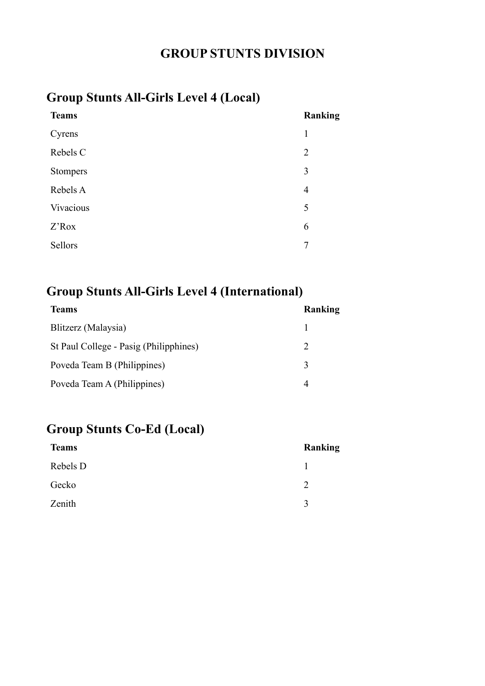## **GROUP STUNTS DIVISION**

# **Group Stunts All-Girls Level 4 (Local)**

| <b>Teams</b> | Ranking        |
|--------------|----------------|
| Cyrens       | 1              |
| Rebels C     | $\overline{2}$ |
| Stompers     | 3              |
| Rebels A     | $\overline{4}$ |
| Vivacious    | 5              |
| Z'Rox        | 6              |
| Sellors      | 7              |
|              |                |

## **Group Stunts All-Girls Level 4 (International)**

| <b>Teams</b>                           | Ranking                     |
|----------------------------------------|-----------------------------|
| Blitzerz (Malaysia)                    |                             |
| St Paul College - Pasig (Philipphines) | $\mathcal{D}_{\mathcal{L}}$ |
| Poveda Team B (Philippines)            | 3                           |
| Poveda Team A (Philippines)            |                             |

# **Group Stunts Co-Ed (Local)**

| <b>Teams</b> | Ranking      |
|--------------|--------------|
| Rebels D     |              |
| Gecko        | C            |
| Zenith       | $\mathbf{R}$ |